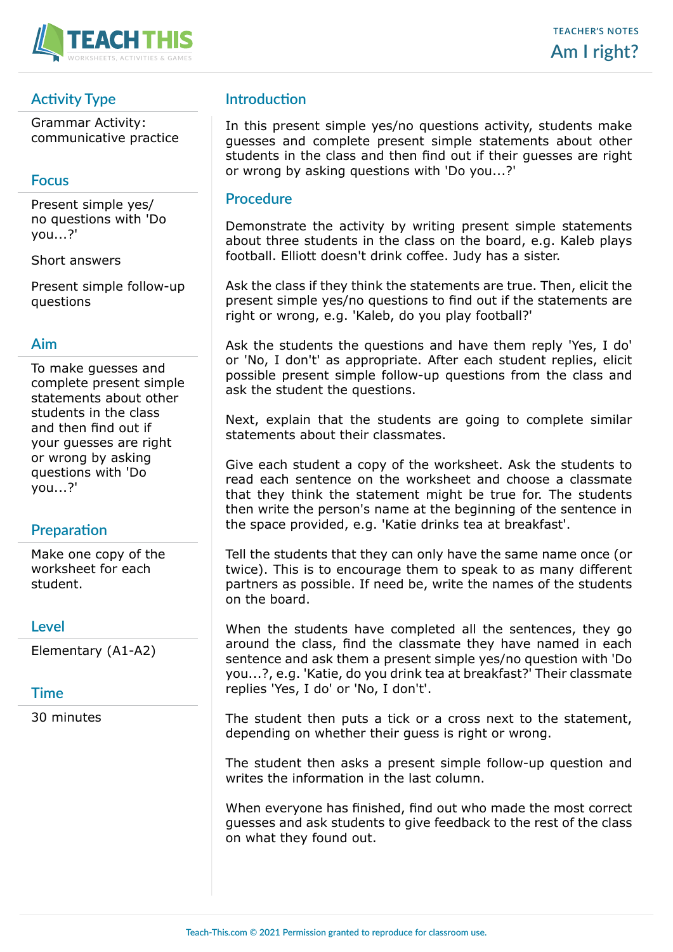

# **Activity Type**

Grammar Activity: communicative practice

## **Focus**

Present simple yes/ no questions with 'Do you...?'

Short answers

Present simple follow-up questions

### **Aim**

To make guesses and complete present simple statements about other students in the class and then find out if your guesses are right or wrong by asking questions with 'Do you...?'

# **Preparation**

Make one copy of the worksheet for each student.

### **Level**

Elementary (A1-A2)

### **Time**

30 minutes

## **Introduction**

In this present simple yes/no questions activity, students make guesses and complete present simple statements about other students in the class and then find out if their guesses are right or wrong by asking questions with 'Do you...?'

#### **Procedure**

Demonstrate the activity by writing present simple statements about three students in the class on the board, e.g. Kaleb plays football. Elliott doesn't drink coffee. Judy has a sister.

Ask the class if they think the statements are true. Then, elicit the present simple yes/no questions to find out if the statements are right or wrong, e.g. 'Kaleb, do you play football?'

Ask the students the questions and have them reply 'Yes, I do' or 'No, I don't' as appropriate. After each student replies, elicit possible present simple follow-up questions from the class and ask the student the questions.

Next, explain that the students are going to complete similar statements about their classmates.

Give each student a copy of the worksheet. Ask the students to read each sentence on the worksheet and choose a classmate that they think the statement might be true for. The students then write the person's name at the beginning of the sentence in the space provided, e.g. 'Katie drinks tea at breakfast'.

Tell the students that they can only have the same name once (or twice). This is to encourage them to speak to as many different partners as possible. If need be, write the names of the students on the board.

When the students have completed all the sentences, they go around the class, find the classmate they have named in each sentence and ask them a present simple yes/no question with 'Do you...?, e.g. 'Katie, do you drink tea at breakfast?' Their classmate replies 'Yes, I do' or 'No, I don't'.

The student then puts a tick or a cross next to the statement, depending on whether their guess is right or wrong.

The student then asks a present simple follow-up question and writes the information in the last column.

When everyone has finished, find out who made the most correct guesses and ask students to give feedback to the rest of the class on what they found out.